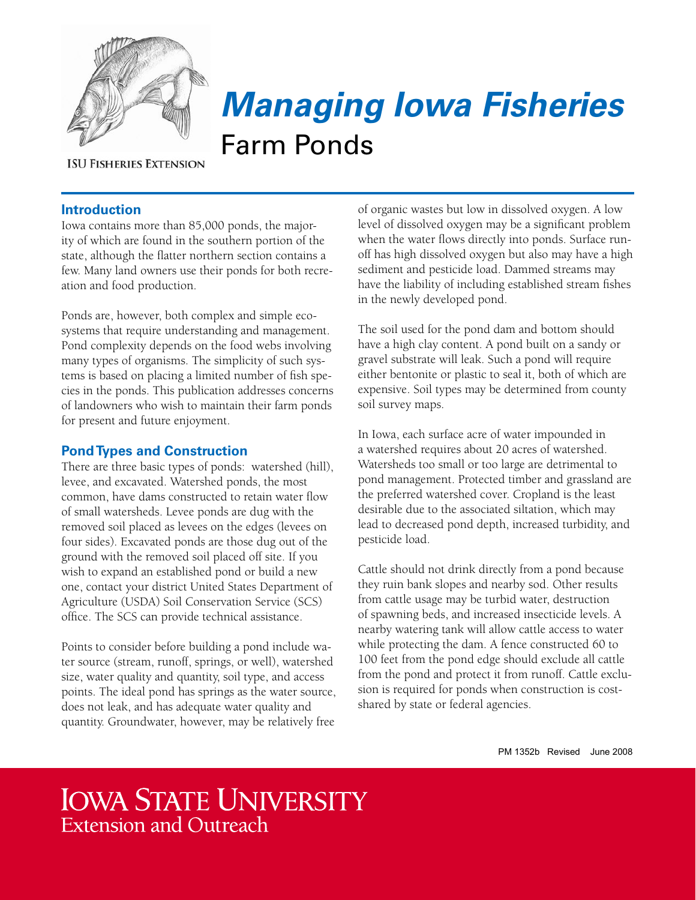

# *Managing Iowa Fisheries* Farm Ponds

**ISU FISHERIES EXTENSION** 

# **Introduction**

Iowa contains more than 85,000 ponds, the majority of which are found in the southern portion of the state, although the flatter northern section contains a few. Many land owners use their ponds for both recreation and food production.

Ponds are, however, both complex and simple ecosystems that require understanding and management. Pond complexity depends on the food webs involving many types of organisms. The simplicity of such systems is based on placing a limited number of fish species in the ponds. This publication addresses concerns of landowners who wish to maintain their farm ponds for present and future enjoyment.

# **Pond Types and Construction**

There are three basic types of ponds: watershed (hill), levee, and excavated. Watershed ponds, the most common, have dams constructed to retain water flow of small watersheds. Levee ponds are dug with the removed soil placed as levees on the edges (levees on four sides). Excavated ponds are those dug out of the ground with the removed soil placed off site. If you wish to expand an established pond or build a new one, contact your district United States Department of Agriculture (USDA) Soil Conservation Service (SCS) office. The SCS can provide technical assistance.

Points to consider before building a pond include water source (stream, runoff, springs, or well), watershed size, water quality and quantity, soil type, and access points. The ideal pond has springs as the water source, does not leak, and has adequate water quality and quantity. Groundwater, however, may be relatively free

of organic wastes but low in dissolved oxygen. A low level of dissolved oxygen may be a significant problem when the water flows directly into ponds. Surface runoff has high dissolved oxygen but also may have a high sediment and pesticide load. Dammed streams may have the liability of including established stream fishes in the newly developed pond.

The soil used for the pond dam and bottom should have a high clay content. A pond built on a sandy or gravel substrate will leak. Such a pond will require either bentonite or plastic to seal it, both of which are expensive. Soil types may be determined from county soil survey maps.

In Iowa, each surface acre of water impounded in a watershed requires about 20 acres of watershed. Watersheds too small or too large are detrimental to pond management. Protected timber and grassland are the preferred watershed cover. Cropland is the least desirable due to the associated siltation, which may lead to decreased pond depth, increased turbidity, and pesticide load.

Cattle should not drink directly from a pond because they ruin bank slopes and nearby sod. Other results from cattle usage may be turbid water, destruction of spawning beds, and increased insecticide levels. A nearby watering tank will allow cattle access to water while protecting the dam. A fence constructed 60 to 100 feet from the pond edge should exclude all cattle from the pond and protect it from runoff. Cattle exclusion is required for ponds when construction is costshared by state or federal agencies.

PM 1352b Revised June 2008

# **IOWA STATE UNIVERSITY Extension and Outreach**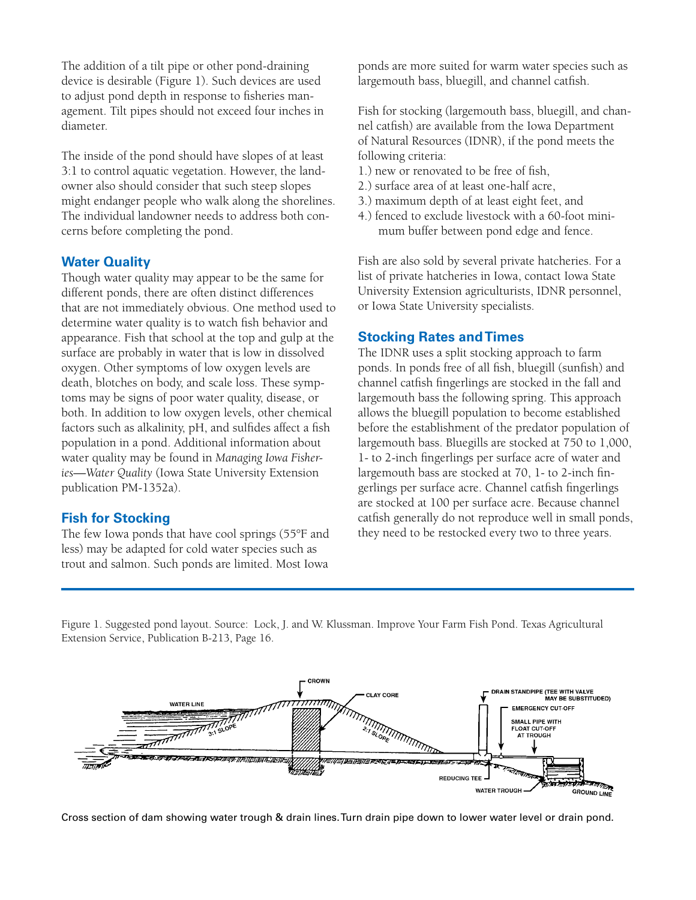The addition of a tilt pipe or other pond-draining device is desirable (Figure 1). Such devices are used to adjust pond depth in response to fisheries management. Tilt pipes should not exceed four inches in diameter.

The inside of the pond should have slopes of at least 3:1 to control aquatic vegetation. However, the landowner also should consider that such steep slopes might endanger people who walk along the shorelines. The individual landowner needs to address both concerns before completing the pond.

#### **Water Quality**

Though water quality may appear to be the same for different ponds, there are often distinct differences that are not immediately obvious. One method used to determine water quality is to watch fish behavior and appearance. Fish that school at the top and gulp at the surface are probably in water that is low in dissolved oxygen. Other symptoms of low oxygen levels are death, blotches on body, and scale loss. These symptoms may be signs of poor water quality, disease, or both. In addition to low oxygen levels, other chemical factors such as alkalinity, pH, and sulfides affect a fish population in a pond. Additional information about water quality may be found in *Managing Iowa Fisheries—Water Quality* (Iowa State University Extension publication PM-1352a).

#### **Fish for Stocking**

The few Iowa ponds that have cool springs (55°F and less) may be adapted for cold water species such as trout and salmon. Such ponds are limited. Most Iowa

ponds are more suited for warm water species such as largemouth bass, bluegill, and channel catfish.

Fish for stocking (largemouth bass, bluegill, and channel catfish) are available from the Iowa Department of Natural Resources (IDNR), if the pond meets the following criteria:

- 1.) new or renovated to be free of fish,
- 2.) surface area of at least one-half acre,
- 3.) maximum depth of at least eight feet, and
- 4.) fenced to exclude livestock with a 60-foot minimum buffer between pond edge and fence.

Fish are also sold by several private hatcheries. For a list of private hatcheries in Iowa, contact Iowa State University Extension agriculturists, IDNR personnel, or Iowa State University specialists.

#### **Stocking Rates and Times**

The IDNR uses a split stocking approach to farm ponds. In ponds free of all fish, bluegill (sunfish) and channel catfish fingerlings are stocked in the fall and largemouth bass the following spring. This approach allows the bluegill population to become established before the establishment of the predator population of largemouth bass. Bluegills are stocked at 750 to 1,000, 1- to 2-inch fingerlings per surface acre of water and largemouth bass are stocked at 70, 1- to 2-inch fingerlings per surface acre. Channel catfish fingerlings are stocked at 100 per surface acre. Because channel catfish generally do not reproduce well in small ponds, they need to be restocked every two to three years.

Figure 1. Suggested pond layout. Source: Lock, J. and W. Klussman. Improve Your Farm Fish Pond. Texas Agricultural Extension Service, Publication B-213, Page 16.



Cross section of dam showing water trough & drain lines. Turn drain pipe down to lower water level or drain pond.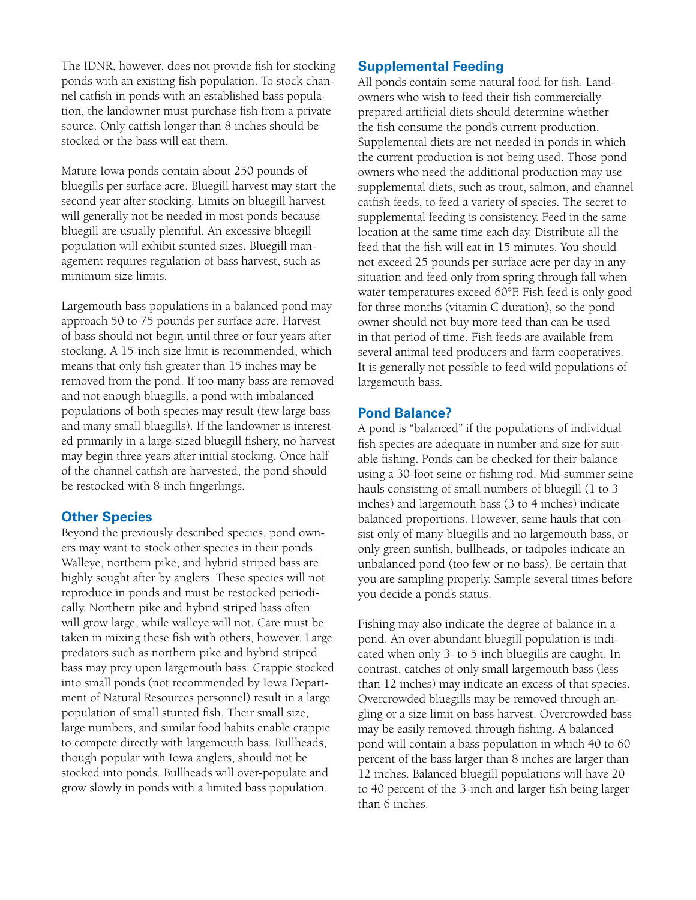The IDNR, however, does not provide fish for stocking ponds with an existing fish population. To stock channel catfish in ponds with an established bass population, the landowner must purchase fish from a private source. Only catfish longer than 8 inches should be stocked or the bass will eat them.

Mature Iowa ponds contain about 250 pounds of bluegills per surface acre. Bluegill harvest may start the second year after stocking. Limits on bluegill harvest will generally not be needed in most ponds because bluegill are usually plentiful. An excessive bluegill population will exhibit stunted sizes. Bluegill management requires regulation of bass harvest, such as minimum size limits.

Largemouth bass populations in a balanced pond may approach 50 to 75 pounds per surface acre. Harvest of bass should not begin until three or four years after stocking. A 15-inch size limit is recommended, which means that only fish greater than 15 inches may be removed from the pond. If too many bass are removed and not enough bluegills, a pond with imbalanced populations of both species may result (few large bass and many small bluegills). If the landowner is interested primarily in a large-sized bluegill fishery, no harvest may begin three years after initial stocking. Once half of the channel catfish are harvested, the pond should be restocked with 8-inch fingerlings.

# **Other Species**

Beyond the previously described species, pond owners may want to stock other species in their ponds. Walleye, northern pike, and hybrid striped bass are highly sought after by anglers. These species will not reproduce in ponds and must be restocked periodically. Northern pike and hybrid striped bass often will grow large, while walleye will not. Care must be taken in mixing these fish with others, however. Large predators such as northern pike and hybrid striped bass may prey upon largemouth bass. Crappie stocked into small ponds (not recommended by Iowa Department of Natural Resources personnel) result in a large population of small stunted fish. Their small size, large numbers, and similar food habits enable crappie to compete directly with largemouth bass. Bullheads, though popular with Iowa anglers, should not be stocked into ponds. Bullheads will over-populate and grow slowly in ponds with a limited bass population.

#### **Supplemental Feeding**

All ponds contain some natural food for fish. Landowners who wish to feed their fish commerciallyprepared artificial diets should determine whether the fish consume the pond's current production. Supplemental diets are not needed in ponds in which the current production is not being used. Those pond owners who need the additional production may use supplemental diets, such as trout, salmon, and channel catfish feeds, to feed a variety of species. The secret to supplemental feeding is consistency. Feed in the same location at the same time each day. Distribute all the feed that the fish will eat in 15 minutes. You should not exceed 25 pounds per surface acre per day in any situation and feed only from spring through fall when water temperatures exceed 60°F. Fish feed is only good for three months (vitamin C duration), so the pond owner should not buy more feed than can be used in that period of time. Fish feeds are available from several animal feed producers and farm cooperatives. It is generally not possible to feed wild populations of largemouth bass.

#### **Pond Balance?**

A pond is "balanced" if the populations of individual fish species are adequate in number and size for suitable fishing. Ponds can be checked for their balance using a 30-foot seine or fishing rod. Mid-summer seine hauls consisting of small numbers of bluegill (1 to 3 inches) and largemouth bass (3 to 4 inches) indicate balanced proportions. However, seine hauls that consist only of many bluegills and no largemouth bass, or only green sunfish, bullheads, or tadpoles indicate an unbalanced pond (too few or no bass). Be certain that you are sampling properly. Sample several times before you decide a pond's status.

Fishing may also indicate the degree of balance in a pond. An over-abundant bluegill population is indicated when only 3- to 5-inch bluegills are caught. In contrast, catches of only small largemouth bass (less than 12 inches) may indicate an excess of that species. Overcrowded bluegills may be removed through angling or a size limit on bass harvest. Overcrowded bass may be easily removed through fishing. A balanced pond will contain a bass population in which 40 to 60 percent of the bass larger than 8 inches are larger than 12 inches. Balanced bluegill populations will have 20 to 40 percent of the 3-inch and larger fish being larger than 6 inches.